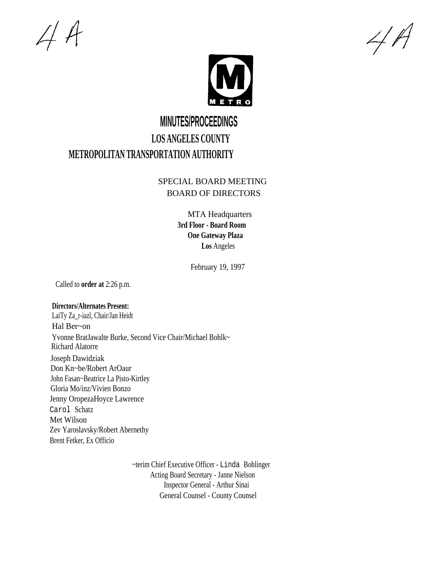$44$ 

 $4A$ 



## **MINUTES/PROCEEDINGS LOS ANGELES COUNTY METROPOLITAN TRANSPORTATION AUTHORITY**

## SPECIAL BOARD MEETING BOARD OF DIRECTORS

MTA Headquarters **3rd Floor - Board Room One Gateway Plaza Los** Angeles

February 19, 1997

Called to **order at** 2:26 p.m.

## **Directors/Alternates Present:**

LaiTy Za\_r-iazl, Chair/Jan Heidt Hal Ber~on Yvonne BratJawalte Burke, Second Vice Chair/Michael Bohlk~ Richard Alatorre Joseph Dawidziak Don Kn~be/Robert ArOaur John Fasan~Beatrice La Pisto-Kirtley Gloria Mo/inz/Vivien Bonzo Jenny OropezaHoyce Lawrence Carol Schatz Met Wilson Zev Yaroslavsky/Robert Abernethy Brent Fetker, Ex Officio

> ~terim Chief Executive Officer - Linda Bohlinger Acting Board Secretary - Janne Nielson Inspector General - Arthur Sinai General Counsel - County Counsel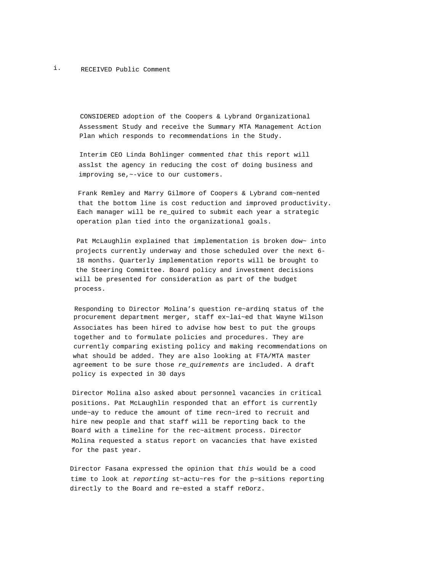CONSIDERED adoption of the Coopers & Lybrand Organizational Assessment Study and receive the Summary MTA Management Action Plan which responds to recommendations in the Study.

Interim CEO Linda Bohlinger commented that this report will asslst the agency in reducing the cost of doing business and improving se,~-vice to our customers.

Frank Remley and Marry Gilmore of Coopers & Lybrand com~nented that the bottom line is cost reduction and improved productivity. Each manager will be re\_quired to submit each year a strategic operation plan tied into the organizational goals.

Pat McLaughlin explained that implementation is broken dow~ into projects currently underway and those scheduled over the next 6- 18 months. Quarterly implementation reports will be brought to the Steering Committee. Board policy and investment decisions will be presented for consideration as part of the budget process.

Responding to Director Molina's question re~ardinq status of the procurement department merger, staff ex~lai~ed that Wayne Wilson Associates has been hired to advise how best to put the groups together and to formulate policies and procedures. They are currently comparing existing policy and making recommendations on what should be added. They are also looking at FTA/MTA master agreement to be sure those re\_quirements are included. A draft policy is expected in 30 days

Director Molina also asked about personnel vacancies in critical positions. Pat McLaughlin responded that an effort is currently unde~ay to reduce the amount of time recn~ired to recruit and hire new people and that staff will be reporting back to the Board with a timeline for the rec~aitment process. Director Molina requested a status report on vacancies that have existed for the past year.

Director Fasana expressed the opinion that this would be a cood time to look at reporting st~actu~res for the p~sitions reporting directly to the Board and re~ested a staff reDorz.